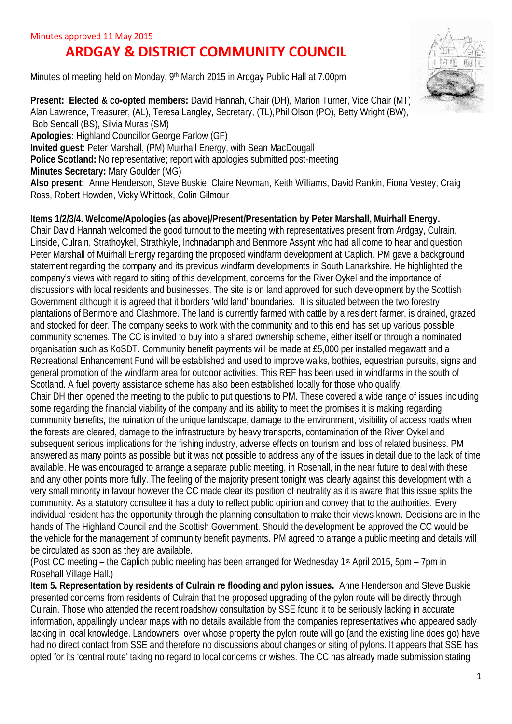## **ARDGAY & DISTRICT COMMUNITY COUNCIL**

Minutes of meeting held on Monday, 9<sup>th</sup> March 2015 in Ardgay Public Hall at 7.00pm



**Present: Elected & co-opted members: David Hannah, Chair (DH), Marion Turner, Vice Chair (MT)** Alan Lawrence, Treasurer, (AL), Teresa Langley, Secretary, (TL),Phil Olson (PO), Betty Wright (BW), Bob Sendall (BS), Silvia Muras (SM) **Apologies:** Highland Councillor George Farlow (GF) **Invited guest**: Peter Marshall, (PM) Muirhall Energy, with Sean MacDougall **Police Scotland:** No representative; report with apologies submitted post-meeting **Minutes Secretary:** Mary Goulder (MG) **Also present:** Anne Henderson, Steve Buskie, Claire Newman, Keith Williams, David Rankin, Fiona Vestey, Craig Ross, Robert Howden, Vicky Whittock, Colin Gilmour

## **Items 1/2/3/4. Welcome/Apologies (as above)/Present/Presentation by Peter Marshall, Muirhall Energy.**

Chair David Hannah welcomed the good turnout to the meeting with representatives present from Ardgay, Culrain, Linside, Culrain, Strathoykel, Strathkyle, Inchnadamph and Benmore Assynt who had all come to hear and question Peter Marshall of Muirhall Energy regarding the proposed windfarm development at Caplich. PM gave a background statement regarding the company and its previous windfarm developments in South Lanarkshire. He highlighted the company's views with regard to siting of this development, concerns for the River Oykel and the importance of discussions with local residents and businesses. The site is on land approved for such development by the Scottish Government although it is agreed that it borders 'wild land' boundaries. It is situated between the two forestry plantations of Benmore and Clashmore. The land is currently farmed with cattle by a resident farmer, is drained, grazed and stocked for deer. The company seeks to work with the community and to this end has set up various possible community schemes. The CC is invited to buy into a shared ownership scheme, either itself or through a nominated organisation such as KoSDT. Community benefit payments will be made at £5,000 per installed megawatt and a Recreational Enhancement Fund will be established and used to improve walks, bothies, equestrian pursuits, signs and general promotion of the windfarm area for outdoor activities. This REF has been used in windfarms in the south of Scotland. A fuel poverty assistance scheme has also been established locally for those who qualify. Chair DH then opened the meeting to the public to put questions to PM. These covered a wide range of issues including some regarding the financial viability of the company and its ability to meet the promises it is making regarding community benefits, the ruination of the unique landscape, damage to the environment, visibility of access roads when the forests are cleared, damage to the infrastructure by heavy transports, contamination of the River Oykel and subsequent serious implications for the fishing industry, adverse effects on tourism and loss of related business. PM answered as many points as possible but it was not possible to address any of the issues in detail due to the lack of time available. He was encouraged to arrange a separate public meeting, in Rosehall, in the near future to deal with these and any other points more fully. The feeling of the majority present tonight was clearly against this development with a very small minority in favour however the CC made clear its position of neutrality as it is aware that this issue splits the community. As a statutory consultee it has a duty to reflect public opinion and convey that to the authorities. Every individual resident has the opportunity through the planning consultation to make their views known. Decisions are in the hands of The Highland Council and the Scottish Government. Should the development be approved the CC would be the vehicle for the management of community benefit payments. PM agreed to arrange a public meeting and details will be circulated as soon as they are available.

(Post CC meeting – the Caplich public meeting has been arranged for Wednesday 1st April 2015, 5pm – 7pm in Rosehall Village Hall.)

**Item 5. Representation by residents of Culrain re flooding and pylon issues.** Anne Henderson and Steve Buskie presented concerns from residents of Culrain that the proposed upgrading of the pylon route will be directly through Culrain. Those who attended the recent roadshow consultation by SSE found it to be seriously lacking in accurate information, appallingly unclear maps with no details available from the companies representatives who appeared sadly lacking in local knowledge. Landowners, over whose property the pylon route will go (and the existing line does go) have had no direct contact from SSE and therefore no discussions about changes or siting of pylons. It appears that SSE has opted for its 'central route' taking no regard to local concerns or wishes. The CC has already made submission stating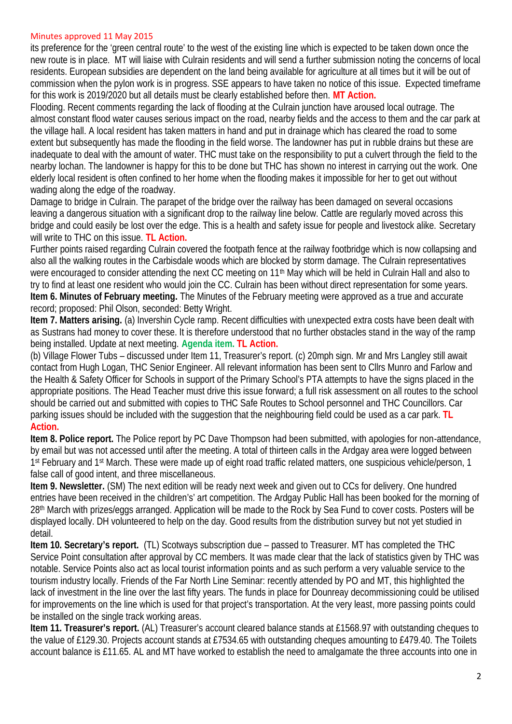## Minutes approved 11 May 2015

its preference for the 'green central route' to the west of the existing line which is expected to be taken down once the new route is in place. MT will liaise with Culrain residents and will send a further submission noting the concerns of local residents. European subsidies are dependent on the land being available for agriculture at all times but it will be out of commission when the pylon work is in progress. SSE appears to have taken no notice of this issue. Expected timeframe for this work is 2019/2020 but all details must be clearly established before then. **MT Action.**

Flooding. Recent comments regarding the lack of flooding at the Culrain junction have aroused local outrage. The almost constant flood water causes serious impact on the road, nearby fields and the access to them and the car park at the village hall. A local resident has taken matters in hand and put in drainage which has cleared the road to some extent but subsequently has made the flooding in the field worse. The landowner has put in rubble drains but these are inadequate to deal with the amount of water. THC must take on the responsibility to put a culvert through the field to the nearby lochan. The landowner is happy for this to be done but THC has shown no interest in carrying out the work. One elderly local resident is often confined to her home when the flooding makes it impossible for her to get out without wading along the edge of the roadway.

Damage to bridge in Culrain. The parapet of the bridge over the railway has been damaged on several occasions leaving a dangerous situation with a significant drop to the railway line below. Cattle are regularly moved across this bridge and could easily be lost over the edge. This is a health and safety issue for people and livestock alike. Secretary will write to THC on this issue. **TL Action.**

Further points raised regarding Culrain covered the footpath fence at the railway footbridge which is now collapsing and also all the walking routes in the Carbisdale woods which are blocked by storm damage. The Culrain representatives were encouraged to consider attending the next CC meeting on 11<sup>th</sup> May which will be held in Culrain Hall and also to try to find at least one resident who would join the CC. Culrain has been without direct representation for some years. **Item 6. Minutes of February meeting.** The Minutes of the February meeting were approved as a true and accurate record; proposed: Phil Olson, seconded: Betty Wright.

**Item 7. Matters arising.** (a) Invershin Cycle ramp. Recent difficulties with unexpected extra costs have been dealt with as Sustrans had money to cover these. It is therefore understood that no further obstacles stand in the way of the ramp being installed. Update at next meeting. **Agenda item. TL Action.**

(b) Village Flower Tubs – discussed under Item 11, Treasurer's report. (c) 20mph sign. Mr and Mrs Langley still await contact from Hugh Logan, THC Senior Engineer. All relevant information has been sent to Cllrs Munro and Farlow and the Health & Safety Officer for Schools in support of the Primary School's PTA attempts to have the signs placed in the appropriate positions. The Head Teacher must drive this issue forward; a full risk assessment on all routes to the school should be carried out and submitted with copies to THC Safe Routes to School personnel and THC Councillors. Car parking issues should be included with the suggestion that the neighbouring field could be used as a car park. **TL Action.**

**Item 8. Police report.** The Police report by PC Dave Thompson had been submitted, with apologies for non-attendance, by email but was not accessed until after the meeting. A total of thirteen calls in the Ardgay area were logged between 1 st February and 1st March. These were made up of eight road traffic related matters, one suspicious vehicle/person, 1 false call of good intent, and three miscellaneous.

**Item 9. Newsletter.** (SM) The next edition will be ready next week and given out to CCs for delivery. One hundred entries have been received in the children's' art competition. The Ardgay Public Hall has been booked for the morning of 28th March with prizes/eggs arranged. Application will be made to the Rock by Sea Fund to cover costs. Posters will be displayed locally. DH volunteered to help on the day. Good results from the distribution survey but not yet studied in detail.

**Item 10. Secretary's report.** (TL) Scotways subscription due – passed to Treasurer. MT has completed the THC Service Point consultation after approval by CC members. It was made clear that the lack of statistics given by THC was notable. Service Points also act as local tourist information points and as such perform a very valuable service to the tourism industry locally. Friends of the Far North Line Seminar: recently attended by PO and MT, this highlighted the lack of investment in the line over the last fifty years. The funds in place for Dounreay decommissioning could be utilised for improvements on the line which is used for that project's transportation. At the very least, more passing points could be installed on the single track working areas.

**Item 11. Treasurer's report.** (AL) Treasurer's account cleared balance stands at £1568.97 with outstanding cheques to the value of £129.30. Projects account stands at £7534.65 with outstanding cheques amounting to £479.40. The Toilets account balance is £11.65. AL and MT have worked to establish the need to amalgamate the three accounts into one in